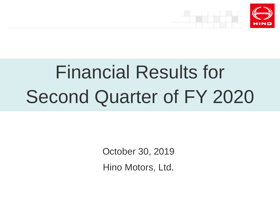



# Financial Results for Second Quarter of FY 2020

October 30, 2019

Hino Motors, Ltd.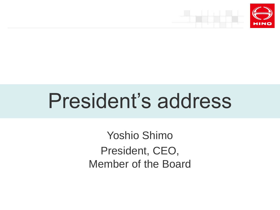

# President's address

Yoshio Shimo President, CEO, Member of the Board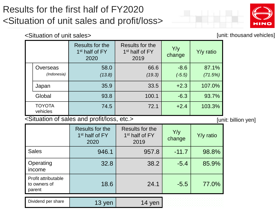

<Situation of unit sales>  $\blacksquare$ 

|                           | Results for the<br>1 <sup>st</sup> half of FY<br>2020 | Results for the<br>1 <sup>st</sup> half of FY<br>2019 | Y/y<br>change      | Y/y ratio        |
|---------------------------|-------------------------------------------------------|-------------------------------------------------------|--------------------|------------------|
| Overseas<br>(Indonesia)   | 58.0<br>(13.8)                                        | 66.6<br>(19.3)                                        | $-8.6$<br>$(-5.5)$ | 87.1%<br>(71.5%) |
| Japan                     | 35.9                                                  | 33.5                                                  | $+2.3$             | 107.0%           |
| Global                    | 93.8                                                  | 100.1                                                 | $-6.3$             | 93.7%            |
| <b>TOYOTA</b><br>vehicles | 74.5                                                  | 72.1                                                  | $+2.4$             | 103.3%           |

<Situation of sales and profit/loss, etc.> [unit: billion yen]

|                                               | Results for the<br>1 <sup>st</sup> half of FY<br>2020 | Results for the<br>1 <sup>st</sup> half of FY<br>2019 | Y/y<br>change | Y/y ratio |
|-----------------------------------------------|-------------------------------------------------------|-------------------------------------------------------|---------------|-----------|
| <b>Sales</b>                                  | 946.1                                                 | 957.8                                                 | $-11.7$       | 98.8%     |
| Operating<br>income                           | 32.8                                                  | 38.2                                                  | $-5.4$        | 85.9%     |
| Profit attributable<br>to owners of<br>parent | 18.6                                                  | 24.1                                                  | $-5.5$        | 77.0%     |
| Dividend per share                            | 13 yen                                                | 14 yen                                                |               |           |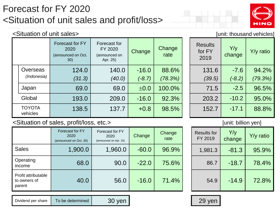# Forecast for FY 2020 <Situation of unit sales and profit/loss>



#### <Situation of unit sales>  $\blacksquare$

|  |                           | Forecast for FY<br>2020<br>(announced on Oct.<br>30) | Forecast for<br>FY 2020<br>(announced on<br>Apr. 25) | <b>Change</b> | Change<br>rate | <b>Results</b><br>for FY<br>2019 | Y/y<br>change | $Y/y$ ratio |
|--|---------------------------|------------------------------------------------------|------------------------------------------------------|---------------|----------------|----------------------------------|---------------|-------------|
|  | Overseas                  | 124.0                                                | 140.0                                                | $-16.0$       | 88.6%          | 131.6                            | $-7.6$        | 94.2%       |
|  | (Indonesia)               | (31.3)                                               | (40.0)                                               | $(-8.7)$      | (78.3%)        | (39.5)                           | $(-8.2)$      | (79.3%)     |
|  | Japan                     | 69.0                                                 | 69.0                                                 | ±0.0          | 100.0%         | 71.5                             | $-2.5$        | 96.5%       |
|  | Global                    | 193.0                                                | 209.0                                                | $-16.0$       | 92.3%          | 203.2                            | $-10.2$       | 95.0%       |
|  | <b>TOYOTA</b><br>vehicles | 138.5                                                | 137.7                                                | $+0.8$        | 98.5%          | 152.7                            | $-17.1$       | 88.8%       |

| 131.6  | $-7.6$   | 94.2%   |
|--------|----------|---------|
| (39.5) | $(-8.2)$ | (79.3%) |
| 71.5   | $-2.5$   | 96.5%   |
| 203.2  | $-10.2$  | 95.0%   |
| 152.7  | $-17.1$  | 88.8%   |

#### <Situation of sales, profit/loss, etc.> [unit: billion yen]

|                                               | Forecast for FY<br>2020<br>(announced on Oct. 30) | Forecast for FY<br>2020<br>(announced on Apr. 25) | Change  | Change<br>rate | <b>Results for</b><br>FY 2019 | Y/y<br>change | $Y/y$ ratio |
|-----------------------------------------------|---------------------------------------------------|---------------------------------------------------|---------|----------------|-------------------------------|---------------|-------------|
| <b>Sales</b>                                  | 1,900.0                                           | 1,960.0                                           | $-60.0$ | 96.9%          | 1,981.3                       | $-81.3$       | 95.9%       |
| Operating<br>income                           | 68.0                                              | 90.0                                              | $-22.0$ | 75.6%          | 86.7                          | $-18.7$       | 78.4%       |
| Profit attributable<br>to owners of<br>parent | 40.0                                              | 56.0                                              | $-16.0$ | 71.4%          | 54.9                          | $-14.9$       | 72.8%       |

| <b>Results for</b><br>FY 2019 | Y/y<br>change | Y/y ratio |
|-------------------------------|---------------|-----------|
| 1,981.3                       | $-81.3$       | 95.9%     |
| 86.7                          | $-18.7$       | 78.4%     |
| 54.9                          | $-14.9$       | 72.8%     |

# Dividend per share To be determined 30 yen 29 yen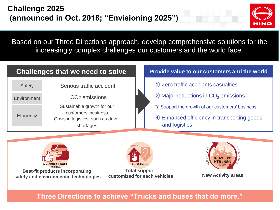

Based on our Three Directions approach, develop comprehensive solutions for the increasingly complex challenges our customers and the world face.

### **Challenges that we need to solve**

| <b>Safety</b>     | Serious traffic accident                                                                              |
|-------------------|-------------------------------------------------------------------------------------------------------|
| Environment       | CO <sub>2</sub> emissions                                                                             |
| <b>Efficiency</b> | Sustainable growth for our<br>customers' business<br>Crisis in logistics, such as driver<br>shortages |

#### **Provide value to our customers and the world**

- ① Zero traffic accidents casualties
- $\circled{2}$  Major reductions in CO<sub>2</sub> emissions
- ③ Support the growth of our customers' business
- ④ Enhanced efficiency in transporting goods and logistics



**Best-fit products incorporating safety and environmental technologies**



**Total support customized for each vehicles New Activity areas**



**Three Directions to achieve "Trucks and buses that do more."**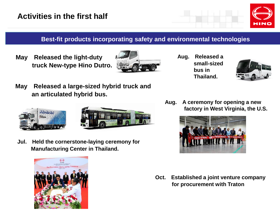

### **Best-fit products incorporating safety and environmental technologies**

**May Released the light-duty truck New-type Hino Dutro.**



**Aug. Released a small-sized bus in Thailand.**



**May Released a large-sized hybrid truck and an articulated hybrid bus.**





**Jul. Held the cornerstone-laying ceremony for Manufacturing Center in Thailand.**



**Aug. A ceremony for opening a new factory in West Virginia, the U.S.**



**Oct. Established a joint venture company for procurement with Traton**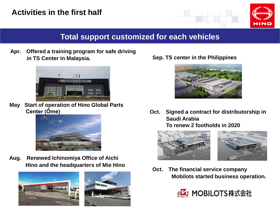# **Activities in the first half**



# **Total support customized for each vehicles**

**Apr. Offered a training program for safe driving in TS Center in Malaysia.**



**May Start of operation of Hino Global Parts Center (Ōme)**



**Aug. Renewed Ichinomiya Office of Aichi Hino and the headquarters of Mie Hino**



**Sep. TS center in the Philippines**



**Oct. Signed a contract for distributorship in Saudi Arabia To renew 2 footholds in 2020**





**Oct. The financial service company Mobilots started business operation.** 

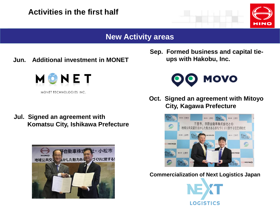# **Activities in the first half**



## **New Activity areas**

**Jun. Additional investment in MONET**



MONET TECHNOLOGIES INC.

**Jul. Signed an agreement with Komatsu City, Ishikawa Prefecture**



**Sep. Formed business and capital tieups with Hakobu, Inc.**



**Oct. Signed an agreement with Mitoyo City, Kagawa Prefecture**



**Commercialization of Next Logistics Japan**

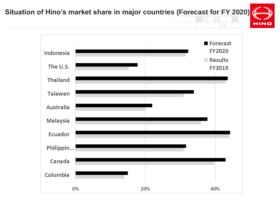**Situation of Hino's market share in major countries (Forecast for FY 2020)**



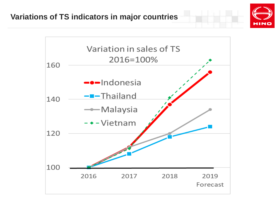## **Variations of TS indicators in major countries**



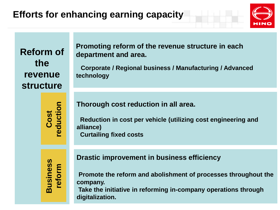# **Efforts for enhancing earning capacity**



**Reform of the revenue structure**

**Promoting reform of the revenue structure in each department and area.**

**Corporate / Regional business / Manufacturing / Advanced technology**

**Business reform Cost reduction**

**Thorough cost reduction in all area.**

**Reduction in cost per vehicle (utilizing cost engineering and alliance) Curtailing fixed costs**

**Drastic improvement in business efficiency**

**Promote the reform and abolishment of processes throughout the company.**

**Take the initiative in reforming in-company operations through digitalization.**